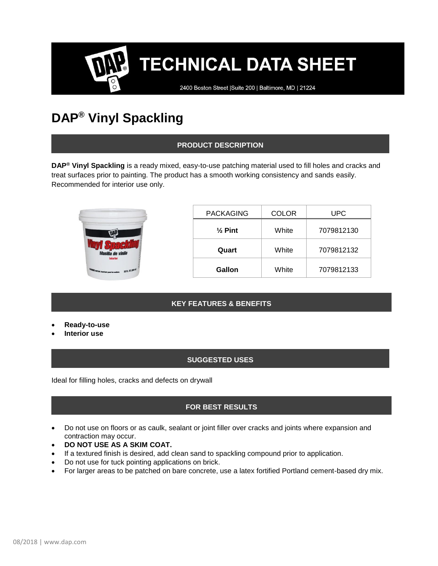# **TECHNICAL DATA SHEET**

2400 Boston Street | Suite 200 | Baltimore, MD | 21224

### **DAP® Vinyl Spackling**

#### **PRODUCT DESCRIPTION**

**DAP® Vinyl Spackling** is a ready mixed, easy-to-use patching material used to fill holes and cracks and treat surfaces prior to painting. The product has a smooth working consistency and sands easily. Recommended for interior use only.



| <b>PACKAGING</b>   | <b>COLOR</b> | UPC        |
|--------------------|--------------|------------|
| $\frac{1}{2}$ Pint | White        | 7079812130 |
| Quart              | White        | 7079812132 |
| Gallon             | White        | 7079812133 |

#### **KEY FEATURES & BENEFITS**

- **Ready-to-use**
- **Interior use**

#### **SUGGESTED USES**

Ideal for filling holes, cracks and defects on drywall

#### **FOR BEST RESULTS**

- Do not use on floors or as caulk, sealant or joint filler over cracks and joints where expansion and contraction may occur.
- **DO NOT USE AS A SKIM COAT.**
- If a textured finish is desired, add clean sand to spackling compound prior to application.
- Do not use for tuck pointing applications on brick.
- For larger areas to be patched on bare concrete, use a latex fortified Portland cement-based dry mix.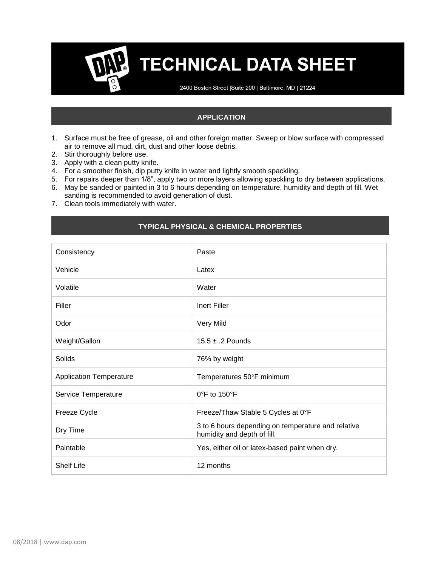### **TECHNICAL DATA SHEET**

2400 Boston Street | Suite 200 | Baltimore, MD | 21224

#### **APPLICATION**

- 1. Surface must be free of grease, oil and other foreign matter. Sweep or blow surface with compressed air to remove all mud, dirt, dust and other loose debris.
- 2. Stir thoroughly before use.
- 3. Apply with a clean putty knife.
- 4. For a smoother finish, dip putty knife in water and lightly smooth spackling.
- 5. For repairs deeper than 1/8", apply two or more layers allowing spackling to dry between applications.
- 6. May be sanded or painted in 3 to 6 hours depending on temperature, humidity and depth of fill. Wet sanding is recommended to avoid generation of dust.
- 7. Clean tools immediately with water.

#### **TYPICAL PHYSICAL & CHEMICAL PROPERTIES**

| Consistency                    | Paste                                                                             |  |
|--------------------------------|-----------------------------------------------------------------------------------|--|
| Vehicle                        | Latex                                                                             |  |
| Volatile                       | Water                                                                             |  |
| Filler                         | <b>Inert Filler</b>                                                               |  |
| Odor                           | Very Mild                                                                         |  |
| Weight/Gallon                  | $15.5 \pm .2$ Pounds                                                              |  |
| Solids                         | 76% by weight                                                                     |  |
| <b>Application Temperature</b> | Temperatures 50°F minimum                                                         |  |
| Service Temperature            | $0^{\circ}$ F to 150 $^{\circ}$ F                                                 |  |
| Freeze Cycle                   | Freeze/Thaw Stable 5 Cycles at 0°F                                                |  |
| Dry Time                       | 3 to 6 hours depending on temperature and relative<br>humidity and depth of fill. |  |
| Paintable                      | Yes, either oil or latex-based paint when dry.                                    |  |
| <b>Shelf Life</b>              | 12 months                                                                         |  |